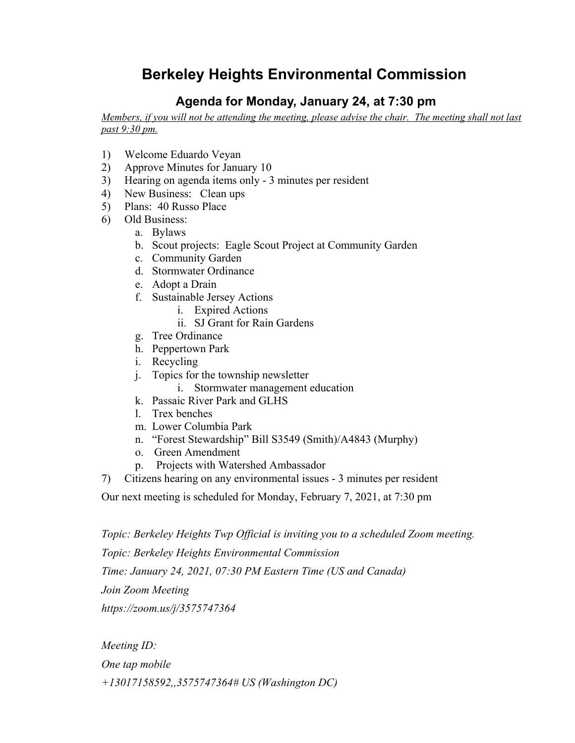## **Berkeley Heights Environmental Commission**

## **Agenda for Monday, January 24, at 7:30 pm**

Members, if you will not be attending the meeting, please advise the chair. The meeting shall not last *past 9:30 pm.*

- 1) Welcome Eduardo Veyan
- 2) Approve Minutes for January 10
- 3) Hearing on agenda items only 3 minutes per resident
- 4) New Business: Clean ups
- 5) Plans: 40 Russo Place
- 6) Old Business:
	- a. Bylaws
	- b. Scout projects: Eagle Scout Project at Community Garden
	- c. Community Garden
	- d. Stormwater Ordinance
	- e. Adopt a Drain
	- f. Sustainable Jersey Actions
		- i. Expired Actions
		- ii. SJ Grant for Rain Gardens
	- g. Tree Ordinance
	- h. Peppertown Park
	- i. Recycling
	- j. Topics for the township newsletter
		- i. Stormwater management education
	- k. Passaic River Park and GLHS
	- l. Trex benches
	- m. Lower Columbia Park
	- n. "Forest Stewardship" Bill S3549 (Smith)/A4843 (Murphy)
	- o. Green Amendment
	- p. Projects with Watershed Ambassador
- 7) Citizens hearing on any environmental issues 3 minutes per resident

Our next meeting is scheduled for Monday, February 7, 2021, at 7:30 pm

*Topic: Berkeley Heights Twp Official is inviting you to a scheduled Zoom meeting.*

*Topic: Berkeley Heights Environmental Commission*

*Time: January 24, 2021, 07:30 PM Eastern Time (US and Canada)*

*Join Zoom Meeting*

*https://zoom.us/j/3575747364*

*Meeting ID: One tap mobile +13017158592,,3575747364# US (Washington DC)*